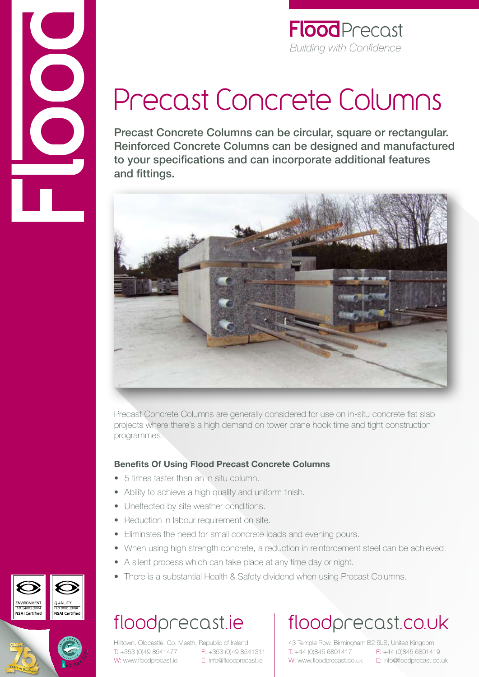

#### **Flood** Precost *Building with Confidence*

# Precast Concrete Columns

Precast Concrete Columns can be circular, square or rectangular. Reinforced Concrete Columns can be designed and manufactured to your specifications and can incorporate additional features and fittings.



Precast Concrete Columns are generally considered for use on in-situ concrete flat slab projects where there's a high demand on tower crane hook time and tight construction programmes.

#### **Benefits Of Using Flood Precast Concrete Columns**

- • 5 times faster than an in situ column.
- Ability to achieve a high quality and uniform finish.
- Uneffected by site weather conditions.
- Reduction in labour requirement on site.
- Eliminates the need for small concrete loads and evening pours.
- When using high strength concrete, a reduction in reinforcement steel can be achieved.
- A silent process which can take place at any time day or night.
- There is a substantial Health & Safety dividend when using Precast Columns.

## floodprecast.ie

Hilltown, Oldcastle, Co. Meath, Republic of Ireland. T: +353 (0)49 8541477 F: +353 (0)49 8541311 W: www.floodprecast.ie E: info@floodprecast.ie

# floodprecast.co.uk

43 Temple Row, Birmingham B2 5LS, United Kingdom. T: +44 (0)845 6801417 F: +44 (0)845 6801419 W: www.floodprecast.co.uk E: info@floodprecast.co.uk